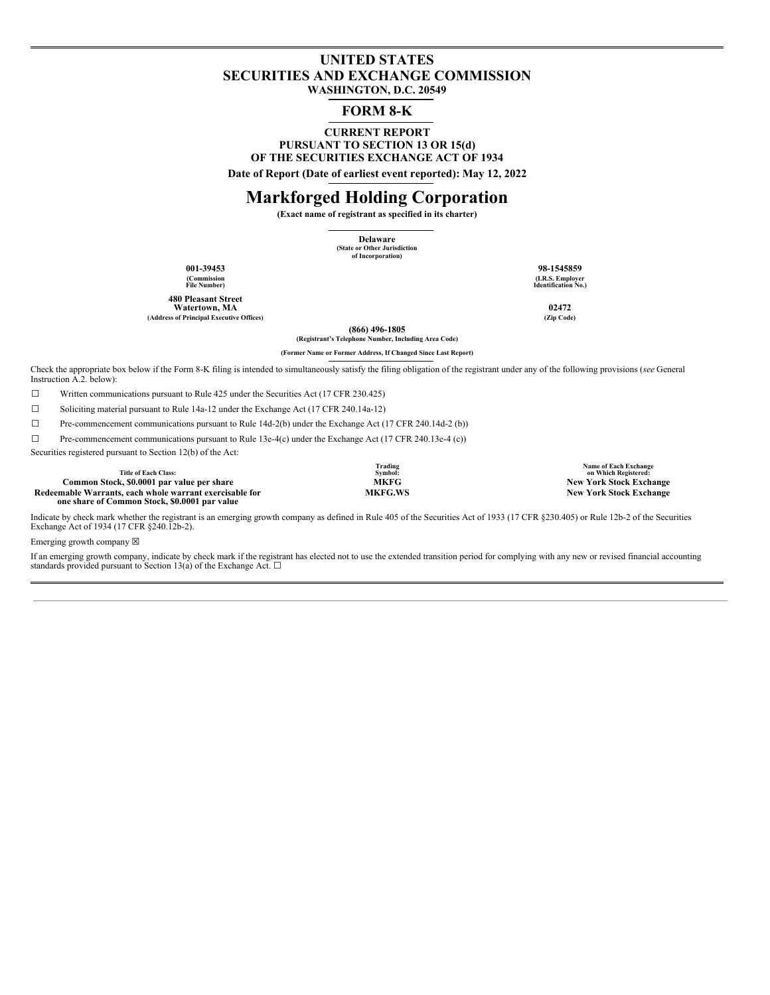# **UNITED STATES SECURITIES AND EXCHANGE COMMISSION WASHINGTON, D.C. 20549**

# **FORM 8-K**

**CURRENT REPORT PURSUANT TO SECTION 13 OR 15(d) OF THE SECURITIES EXCHANGE ACT OF 1934**

**Date of Report (Date of earliest event reported): May 12, 2022**

# **Markforged Holding Corporation**

**(Exact name of registrant as specified in its charter)**

**Delaware (State or Other Jurisdiction of Incorporation)**

**(Commission File Number)**

**480 Pleasant Street Watertown, MA 02472 (Address of Principal Executive Offices) (Zip Code)**

**001-39453 98-1545859 (I.R.S. Employer Identification No.)**

**(866) 496-1805**

**(Registrant's Telephone Number, Including Area Code) (Former Name or Former Address, If Changed Since Last Report)**

Check the appropriate box below if the Form 8-K filing is intended to simultaneously satisfy the filing obligation of the registrant under any of the following provisions (*see* General Instruction A.2. below):

☐ Written communications pursuant to Rule 425 under the Securities Act (17 CFR 230.425)

☐ Soliciting material pursuant to Rule 14a-12 under the Exchange Act (17 CFR 240.14a-12)

☐ Pre-commencement communications pursuant to Rule 14d-2(b) under the Exchange Act (17 CFR 240.14d-2 (b))

 $\Box$  Pre-commencement communications pursuant to Rule 13e-4(c) under the Exchange Act (17 CFR 240.13e-4 (c))

Securities registered pursuant to Section 12(b) of the Act:

**Title of Each Class: Common Stock,** \$0.0001 par value per share **MKFG MKFG MKFG MKFG MKFG MKFG MEG MEGALE New** York Stock Exchange **MEGALE MEGALE MEGALE New** York Stock Exchange **Redeemable Warrants, each whole warrant exercisable for one share of Common Stock, \$0.0001 par value**

**Trading Symbol:**

**Name of Each Exchange on Which Registered:**  $New York Stock Exchange$ 

Indicate by check mark whether the registrant is an emerging growth company as defined in Rule 405 of the Securities Act of 1933 (17 CFR §230.405) or Rule 12b-2 of the Securities Exchange Act of 1934 (17 CFR §240.12b-2).

Emerging growth company  $\boxtimes$ 

If an emerging growth company, indicate by check mark if the registrant has elected not to use the extended transition period for complying with any new or revised financial accounting standards provided pursuant to Section 13(a) of the Exchange Act.  $\square$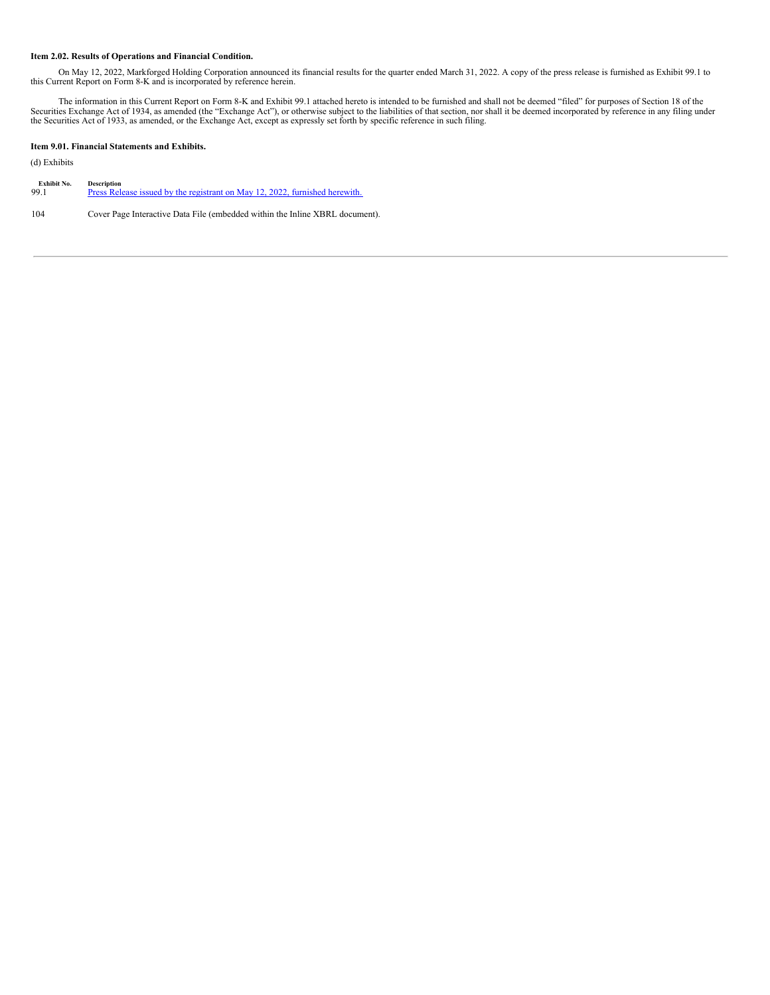## **Item 2.02. Results of Operations and Financial Condition.**

On May 12, 2022, Markforged Holding Corporation announced its financial results for the quarter ended March 31, 2022. A copy of the press release is furnished as Exhibit 99.1 to this Current Report on Form 8-K and is incorporated by reference herein.

The information in this Current Report on Form 8-K and Exhibit 99.1 attached hereto is intended to be furnished and shall not be deemed "filed" for purposes of Section 18 of the Securities Exchange Act of 1934, as amended

# **Item 9.01. Financial Statements and Exhibits.**

# (d) Exhibits

| Exhibit No. | <b>Description</b>                                                          |
|-------------|-----------------------------------------------------------------------------|
| 99.1        | Press Release issued by the registrant on May 12, 2022, furnished herewith. |
|             |                                                                             |

104 Cover Page Interactive Data File (embedded within the Inline XBRL document).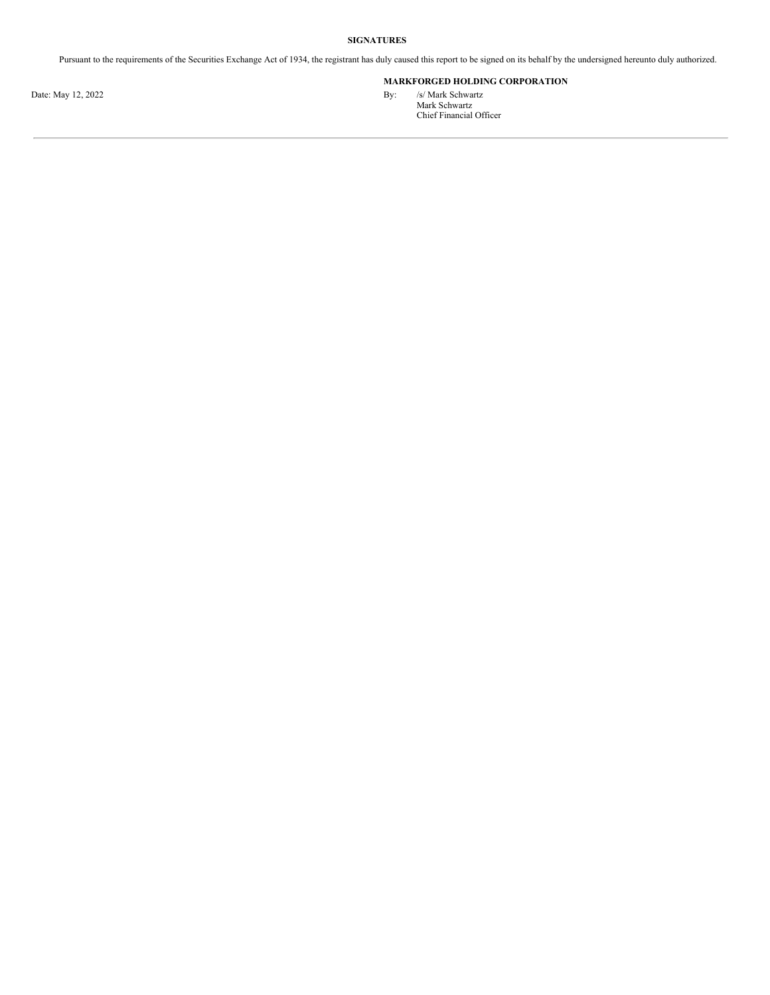# **SIGNATURES**

Pursuant to the requirements of the Securities Exchange Act of 1934, the registrant has duly caused this report to be signed on its behalf by the undersigned hereunto duly authorized.

# **MARKFORGED HOLDING CORPORATION**

Date: May 12, 2022 By: /s/ Mark Schwartz Mark Schwartz Chief Financial Officer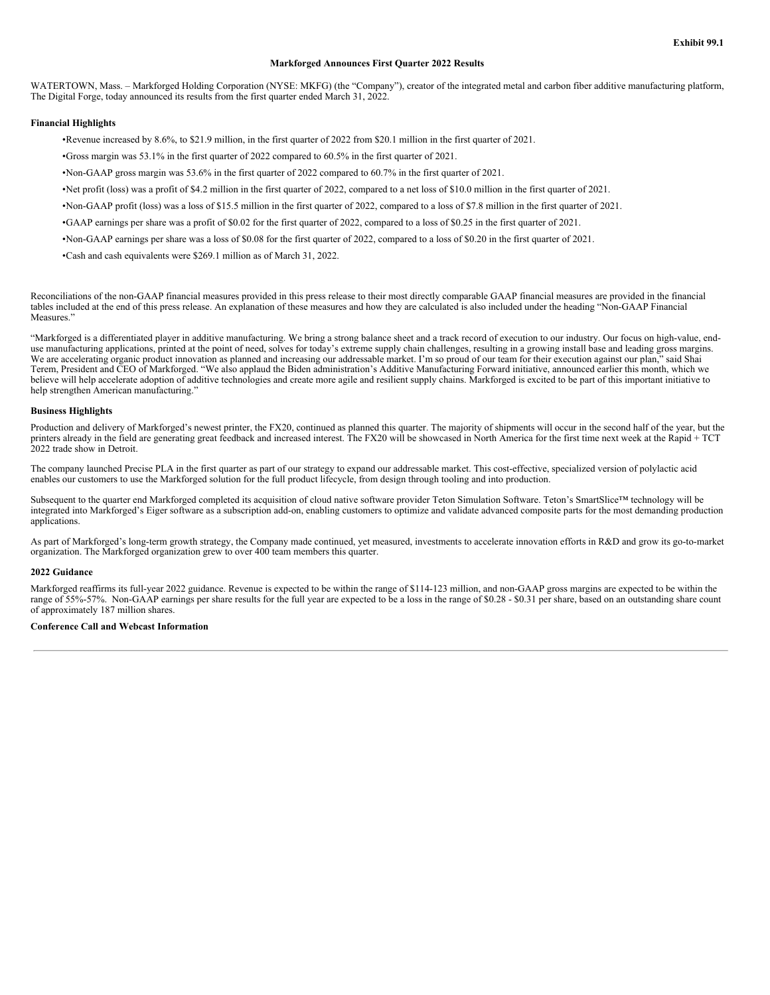# **Markforged Announces First Quarter 2022 Results**

WATERTOWN, Mass. - Markforged Holding Corporation (NYSE: MKFG) (the "Company"), creator of the integrated metal and carbon fiber additive manufacturing platform, The Digital Forge, today announced its results from the first quarter ended March 31, 2022.

# **Financial Highlights**

•Revenue increased by 8.6%, to \$21.9 million, in the first quarter of 2022 from \$20.1 million in the first quarter of 2021.

•Gross margin was 53.1% in the first quarter of 2022 compared to 60.5% in the first quarter of 2021.

•Non-GAAP gross margin was 53.6% in the first quarter of 2022 compared to 60.7% in the first quarter of 2021.

•Net profit (loss) was a profit of \$4.2 million in the first quarter of 2022, compared to a net loss of \$10.0 million in the first quarter of 2021.

•Non-GAAP profit (loss) was a loss of \$15.5 million in the first quarter of 2022, compared to a loss of \$7.8 million in the first quarter of 2021.

•GAAP earnings per share was a profit of \$0.02 for the first quarter of 2022, compared to a loss of \$0.25 in the first quarter of 2021.

•Non-GAAP earnings per share was a loss of \$0.08 for the first quarter of 2022, compared to a loss of \$0.20 in the first quarter of 2021.

•Cash and cash equivalents were \$269.1 million as of March 31, 2022.

Reconciliations of the non-GAAP financial measures provided in this press release to their most directly comparable GAAP financial measures are provided in the financial tables included at the end of this press release. An explanation of these measures and how they are calculated is also included under the heading "Non-GAAP Financial Measures."

"Markforged is a differentiated player in additive manufacturing. We bring a strong balance sheet and a track record of execution to our industry. Our focus on high-value, enduse manufacturing applications, printed at the point of need, solves for today's extreme supply chain challenges, resulting in a growing install base and leading gross margins. We are accelerating organic product innovation as planned and increasing our addressable market. I'm so proud of our team for their execution against our plan," said Shai Terem, President and CEO of Markforged. "We also applaud the Biden administration's Additive Manufacturing Forward initiative, announced earlier this month, which we believe will help accelerate adoption of additive technologies and create more agile and resilient supply chains. Markforged is excited to be part of this important initiative to help strengthen American manufacturing."

#### **Business Highlights**

Production and delivery of Markforged's newest printer, the FX20, continued as planned this quarter. The majority of shipments will occur in the second half of the year, but the printers already in the field are generating great feedback and increased interest. The FX20 will be showcased in North America for the first time next week at the Rapid + TCT 2022 trade show in Detroit.

The company launched Precise PLA in the first quarter as part of our strategy to expand our addressable market. This cost-effective, specialized version of polylactic acid enables our customers to use the Markforged solution for the full product lifecycle, from design through tooling and into production.

Subsequent to the quarter end Markforged completed its acquisition of cloud native software provider Teton Simulation Software. Teton's SmartSlice™ technology will be integrated into Markforged's Eiger software as a subscription add-on, enabling customers to optimize and validate advanced composite parts for the most demanding production applications.

As part of Markforged's long-term growth strategy, the Company made continued, yet measured, investments to accelerate innovation efforts in R&D and grow its go-to-market organization. The Markforged organization grew to over 400 team members this quarter.

#### **2022 Guidance**

Markforged reaffirms its full-year 2022 guidance. Revenue is expected to be within the range of \$114-123 million, and non-GAAP gross margins are expected to be within the range of 55%-57%. Non-GAAP earnings per share results for the full year are expected to be a loss in the range of \$0.28 - \$0.31 per share, based on an outstanding share count of approximately 187 million shares.

#### **Conference Call and Webcast Information**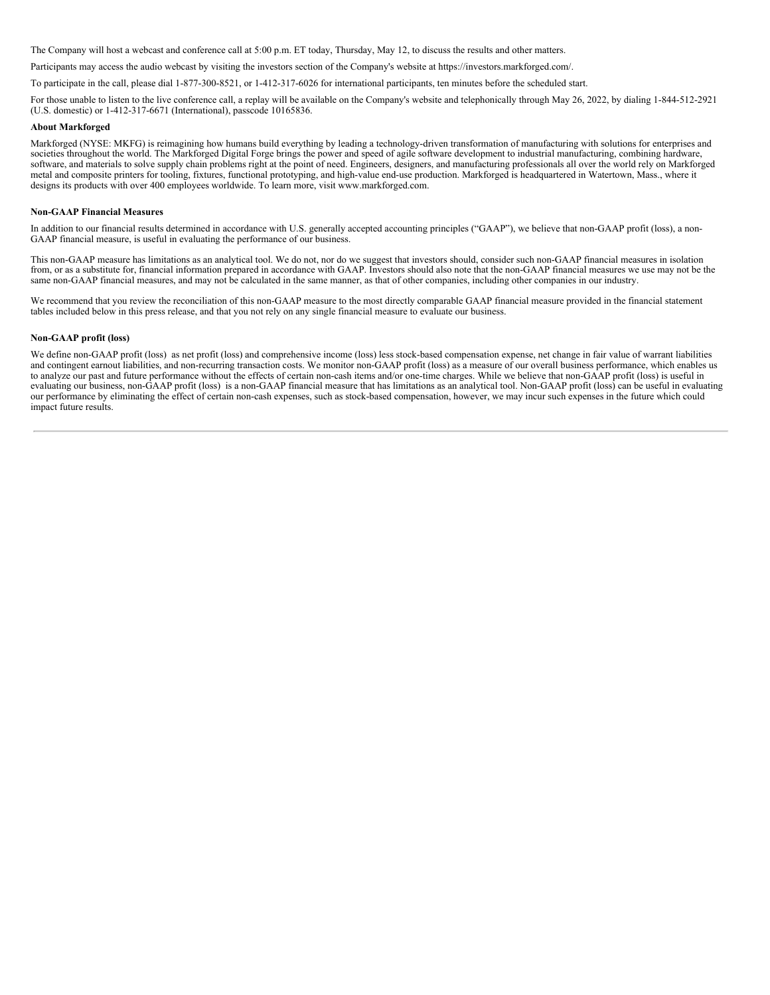The Company will host a webcast and conference call at 5:00 p.m. ET today, Thursday, May 12, to discuss the results and other matters.

Participants may access the audio webcast by visiting the investors section of the Company's website at https://investors.markforged.com/.

To participate in the call, please dial 1-877-300-8521, or 1-412-317-6026 for international participants, ten minutes before the scheduled start.

For those unable to listen to the live conference call, a replay will be available on the Company's website and telephonically through May 26, 2022, by dialing 1-844-512-2921 (U.S. domestic) or 1-412-317-6671 (International), passcode 10165836.

#### **About Markforged**

Markforged (NYSE: MKFG) is reimagining how humans build everything by leading a technology-driven transformation of manufacturing with solutions for enterprises and societies throughout the world. The Markforged Digital Forge brings the power and speed of agile software development to industrial manufacturing, combining hardware, software, and materials to solve supply chain problems right at the point of need. Engineers, designers, and manufacturing professionals all over the world rely on Markforged metal and composite printers for tooling, fixtures, functional prototyping, and high-value end-use production. Markforged is headquartered in Watertown, Mass., where it designs its products with over 400 employees worldwide. To learn more, visit www.markforged.com.

#### **Non-GAAP Financial Measures**

In addition to our financial results determined in accordance with U.S. generally accepted accounting principles ("GAAP"), we believe that non-GAAP profit (loss), a non-GAAP financial measure, is useful in evaluating the performance of our business.

This non-GAAP measure has limitations as an analytical tool. We do not, nor do we suggest that investors should, consider such non-GAAP financial measures in isolation from, or as a substitute for, financial information prepared in accordance with GAAP. Investors should also note that the non-GAAP financial measures we use may not be the same non-GAAP financial measures, and may not be calculated in the same manner, as that of other companies, including other companies in our industry.

We recommend that you review the reconciliation of this non-GAAP measure to the most directly comparable GAAP financial measure provided in the financial statement tables included below in this press release, and that you not rely on any single financial measure to evaluate our business.

### **Non-GAAP profit (loss)**

We define non-GAAP profit (loss) as net profit (loss) and comprehensive income (loss) less stock-based compensation expense, net change in fair value of warrant liabilities and contingent earnout liabilities, and non-recurring transaction costs. We monitor non-GAAP profit (loss) as a measure of our overall business performance, which enables us to analyze our past and future performance without the effects of certain non-cash items and/or one-time charges. While we believe that non-GAAP profit (loss) is useful in evaluating our business, non-GAAP profit (loss) is a non-GAAP financial measure that has limitations as an analytical tool. Non-GAAP profit (loss) can be useful in evaluating our performance by eliminating the effect of certain non-cash expenses, such as stock-based compensation, however, we may incur such expenses in the future which could impact future results.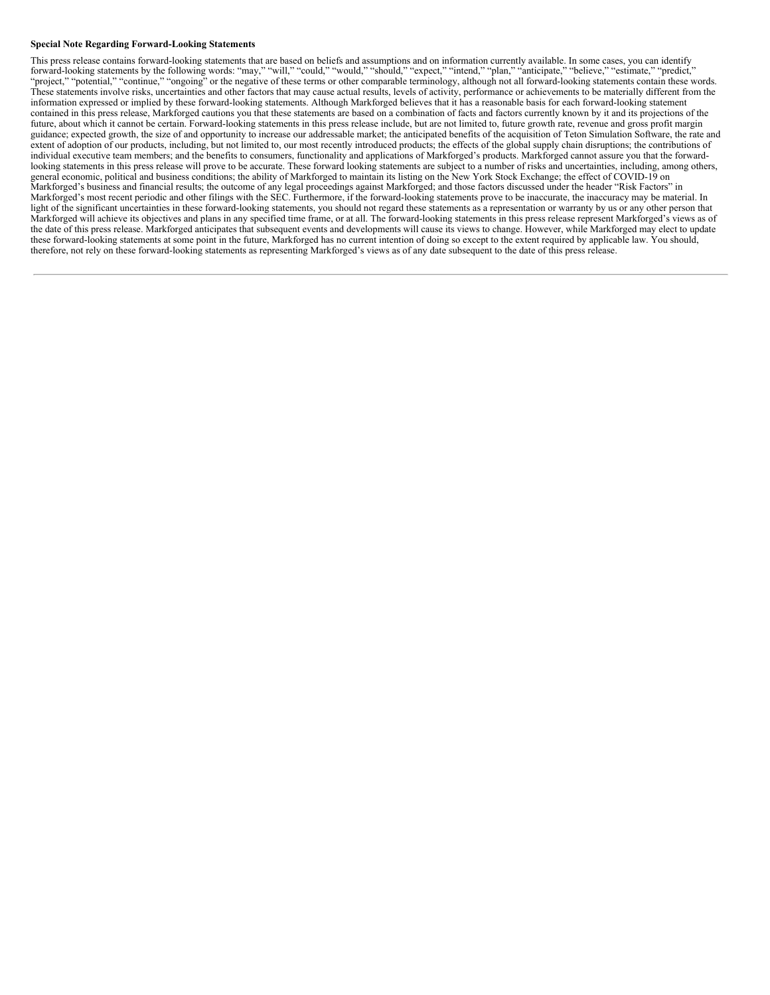#### **Special Note Regarding Forward-Looking Statements**

This press release contains forward-looking statements that are based on beliefs and assumptions and on information currently available. In some cases, you can identify forward-looking statements by the following words: "may," "will," "could," "would," "should," "expect," "intend," "plan," "anticipate," "believe," "estimate," "predict," "project," "potential," "continue," "ongoing" or the negative of these terms or other comparable terminology, although not all forward-looking statements contain these words. These statements involve risks, uncertainties and other factors that may cause actual results, levels of activity, performance or achievements to be materially different from the information expressed or implied by these forward-looking statements. Although Markforged believes that it has a reasonable basis for each forward-looking statement contained in this press release, Markforged cautions you that these statements are based on a combination of facts and factors currently known by it and its projections of the future, about which it cannot be certain. Forward-looking statements in this press release include, but are not limited to, future growth rate, revenue and gross profit margin guidance; expected growth, the size of and opportunity to increase our addressable market; the anticipated benefits of the acquisition of Teton Simulation Software, the rate and extent of adoption of our products, including, but not limited to, our most recently introduced products; the effects of the global supply chain disruptions; the contributions of individual executive team members; and the benefits to consumers, functionality and applications of Markforged's products. Markforged cannot assure you that the forwardlooking statements in this press release will prove to be accurate. These forward looking statements are subject to a number of risks and uncertainties, including, among others, general economic, political and business conditions; the ability of Markforged to maintain its listing on the New York Stock Exchange; the effect of COVID-19 on Markforged's business and financial results; the outcome of any legal proceedings against Markforged; and those factors discussed under the header "Risk Factors" in Markforged's most recent periodic and other filings with the SEC. Furthermore, if the forward-looking statements prove to be inaccurate, the inaccuracy may be material. In light of the significant uncertainties in these forward-looking statements, you should not regard these statements as a representation or warranty by us or any other person that Markforged will achieve its objectives and plans in any specified time frame, or at all. The forward-looking statements in this press release represent Markforged's views as of the date of this press release. Markforged anticipates that subsequent events and developments will cause its views to change. However, while Markforged may elect to update these forward-looking statements at some point in the future, Markforged has no current intention of doing so except to the extent required by applicable law. You should, therefore, not rely on these forward-looking statements as representing Markforged's views as of any date subsequent to the date of this press release.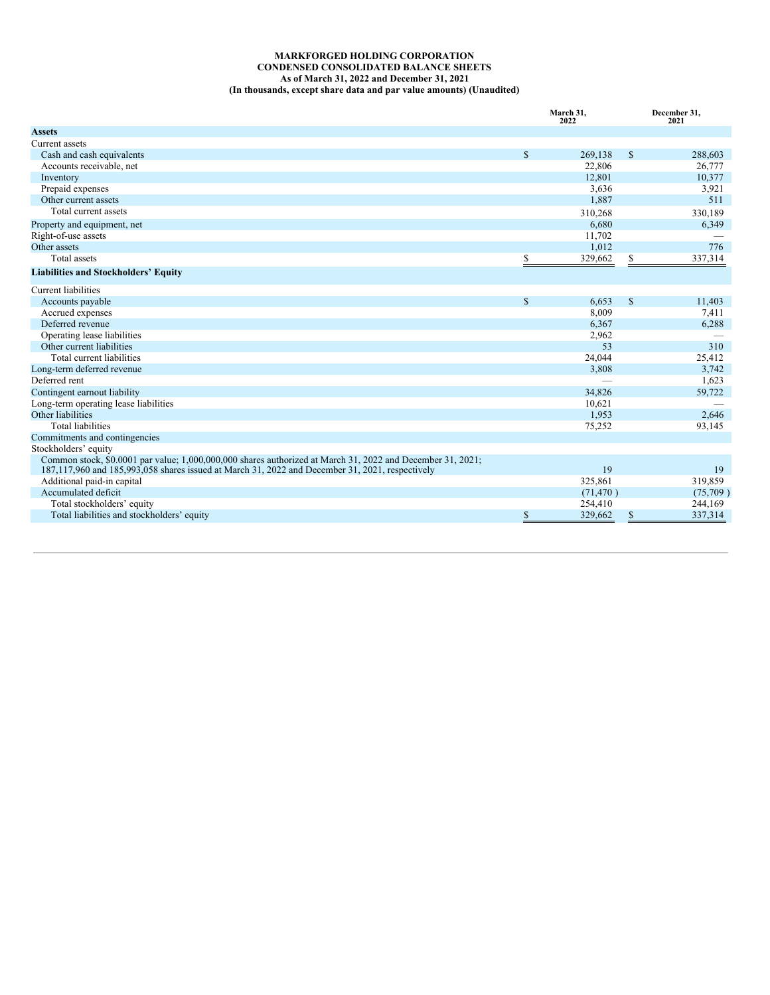## <span id="page-7-0"></span>**MARKFORGED HOLDING CORPORATION CONDENSED CONSOLIDATED BALANCE SHEETS As of March 31, 2022 and December 31, 2021 (In thousands, except share data and par value amounts) (Unaudited)**

|                                                                                                                                                                                                               | March 31,<br>2022 |           | December 31,<br>2021 |          |
|---------------------------------------------------------------------------------------------------------------------------------------------------------------------------------------------------------------|-------------------|-----------|----------------------|----------|
| <b>Assets</b>                                                                                                                                                                                                 |                   |           |                      |          |
| Current assets                                                                                                                                                                                                |                   |           |                      |          |
| Cash and cash equivalents                                                                                                                                                                                     | $\mathbb{S}$      | 269,138   | \$                   | 288,603  |
| Accounts receivable, net                                                                                                                                                                                      |                   | 22.806    |                      | 26,777   |
| Inventory                                                                                                                                                                                                     |                   | 12,801    |                      | 10,377   |
| Prepaid expenses                                                                                                                                                                                              |                   | 3,636     |                      | 3,921    |
| Other current assets                                                                                                                                                                                          |                   | 1,887     |                      | 511      |
| Total current assets                                                                                                                                                                                          |                   | 310,268   |                      | 330,189  |
| Property and equipment, net                                                                                                                                                                                   |                   | 6,680     |                      | 6,349    |
| Right-of-use assets                                                                                                                                                                                           |                   | 11,702    |                      |          |
| Other assets                                                                                                                                                                                                  |                   | 1,012     |                      | 776      |
| Total assets                                                                                                                                                                                                  | \$                | 329,662   | \$                   | 337,314  |
| <b>Liabilities and Stockholders' Equity</b>                                                                                                                                                                   |                   |           |                      |          |
| Current liabilities                                                                                                                                                                                           |                   |           |                      |          |
| Accounts payable                                                                                                                                                                                              | $\mathbb{S}$      | 6,653     | \$                   | 11,403   |
| Accrued expenses                                                                                                                                                                                              |                   | 8,009     |                      | 7,411    |
| Deferred revenue                                                                                                                                                                                              |                   | 6,367     |                      | 6,288    |
| Operating lease liabilities                                                                                                                                                                                   |                   | 2,962     |                      |          |
| Other current liabilities                                                                                                                                                                                     |                   | 53        |                      | 310      |
| Total current liabilities                                                                                                                                                                                     |                   | 24,044    |                      | 25,412   |
| Long-term deferred revenue                                                                                                                                                                                    |                   | 3,808     |                      | 3,742    |
| Deferred rent                                                                                                                                                                                                 |                   |           |                      | 1,623    |
| Contingent earnout liability                                                                                                                                                                                  |                   | 34,826    |                      | 59,722   |
| Long-term operating lease liabilities                                                                                                                                                                         |                   | 10,621    |                      |          |
| Other liabilities                                                                                                                                                                                             |                   | 1,953     |                      | 2,646    |
| <b>Total liabilities</b>                                                                                                                                                                                      |                   | 75,252    |                      | 93,145   |
| Commitments and contingencies                                                                                                                                                                                 |                   |           |                      |          |
| Stockholders' equity                                                                                                                                                                                          |                   |           |                      |          |
| Common stock, \$0.0001 par value; 1,000,000,000 shares authorized at March 31, 2022 and December 31, 2021;<br>187,117,960 and 185,993,058 shares issued at March 31, 2022 and December 31, 2021, respectively |                   | 19        |                      | 19       |
| Additional paid-in capital                                                                                                                                                                                    |                   | 325,861   |                      | 319,859  |
| Accumulated deficit                                                                                                                                                                                           |                   | (71, 470) |                      | (75,709) |
| Total stockholders' equity                                                                                                                                                                                    |                   | 254,410   |                      | 244,169  |
| Total liabilities and stockholders' equity                                                                                                                                                                    | S                 | 329,662   | \$                   | 337,314  |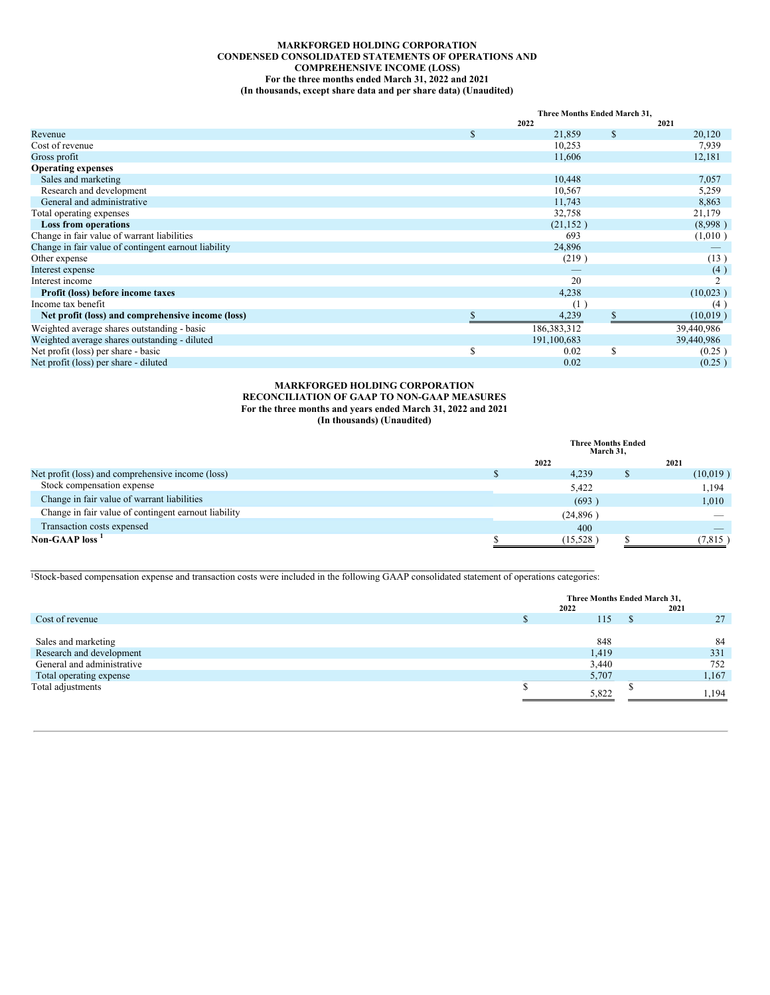# **MARKFORGED HOLDING CORPORATION CONDENSED CONSOLIDATED STATEMENTS OF OPERATIONS AND COMPREHENSIVE INCOME (LOSS) For the three months ended March 31, 2022 and 2021 (In thousands, except share data and per share data) (Unaudited)**

|                                                      |    | Three Months Ended March 31, |              |            |  |
|------------------------------------------------------|----|------------------------------|--------------|------------|--|
|                                                      |    | 2022                         |              | 2021       |  |
| Revenue                                              | \$ | 21,859                       | $\mathbb{S}$ | 20,120     |  |
| Cost of revenue                                      |    | 10,253                       |              | 7,939      |  |
| Gross profit                                         |    | 11,606                       |              | 12,181     |  |
| <b>Operating expenses</b>                            |    |                              |              |            |  |
| Sales and marketing                                  |    | 10,448                       |              | 7,057      |  |
| Research and development                             |    | 10,567                       |              | 5,259      |  |
| General and administrative                           |    | 11,743                       |              | 8,863      |  |
| Total operating expenses                             |    | 32,758                       |              | 21,179     |  |
| <b>Loss from operations</b>                          |    | (21, 152)                    |              | (8,998)    |  |
| Change in fair value of warrant liabilities          |    | 693                          |              | (1,010)    |  |
| Change in fair value of contingent earnout liability |    | 24,896                       |              |            |  |
| Other expense                                        |    | (219)                        |              | (13)       |  |
| Interest expense                                     |    |                              |              | (4)        |  |
| Interest income                                      |    | 20                           |              |            |  |
| Profit (loss) before income taxes                    |    | 4,238                        |              | (10,023)   |  |
| Income tax benefit                                   |    | (1)                          |              | (4)        |  |
| Net profit (loss) and comprehensive income (loss)    |    | 4,239                        |              | (10,019)   |  |
| Weighted average shares outstanding - basic          |    | 186,383,312                  |              | 39,440,986 |  |
| Weighted average shares outstanding - diluted        |    | 191,100,683                  |              | 39,440,986 |  |
| Net profit (loss) per share - basic                  | S  | 0.02                         | S            | (0.25)     |  |
| Net profit (loss) per share - diluted                |    | 0.02                         |              | (0.25)     |  |

## **MARKFORGED HOLDING CORPORATION RECONCILIATION OF GAAP TO NON-GAAP MEASURES For the three months and years ended March 31, 2022 and 2021 (In thousands) (Unaudited)**

|                                                      | <b>Three Months Ended</b><br>March 31, |  |          |  |
|------------------------------------------------------|----------------------------------------|--|----------|--|
|                                                      | 2022                                   |  | 2021     |  |
| Net profit (loss) and comprehensive income (loss)    | 4,239                                  |  | (10,019) |  |
| Stock compensation expense                           | 5,422                                  |  | 1,194    |  |
| Change in fair value of warrant liabilities          | (693)                                  |  | 1,010    |  |
| Change in fair value of contingent earnout liability | (24, 896)                              |  |          |  |
| Transaction costs expensed                           | 400                                    |  |          |  |
| Non-GAAP loss <sup>1</sup>                           | (15,528)                               |  | (7.815)  |  |

 $\mathcal{L} = \{ \mathcal{L} = \{ \mathcal{L} = \{ \mathcal{L} = \{ \mathcal{L} = \{ \mathcal{L} = \{ \mathcal{L} = \{ \mathcal{L} = \{ \mathcal{L} = \{ \mathcal{L} = \{ \mathcal{L} = \{ \mathcal{L} = \{ \mathcal{L} = \{ \mathcal{L} = \{ \mathcal{L} = \{ \mathcal{L} = \{ \mathcal{L} = \{ \mathcal{L} = \{ \mathcal{L} = \{ \mathcal{L} = \{ \mathcal{L} = \{ \mathcal{L} = \{ \mathcal{L} = \{ \mathcal{L} = \{ \mathcal{$ <sup>1</sup>Stock-based compensation expense and transaction costs were included in the following GAAP consolidated statement of operations categories:

|                            | Three Months Ended March 31,<br>2022<br>2021 |  |       |
|----------------------------|----------------------------------------------|--|-------|
| Cost of revenue            | 115                                          |  | 27    |
|                            |                                              |  |       |
| Sales and marketing        | 848                                          |  | 84    |
| Research and development   | 1,419                                        |  | 331   |
| General and administrative | 3,440                                        |  | 752   |
| Total operating expense    | 5,707                                        |  | 1,167 |
| Total adjustments          | 5.822                                        |  | .194  |